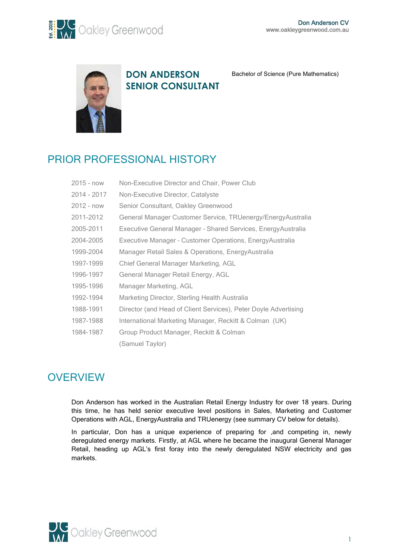



## **DON ANDERSON SENIOR CONSULTANT**

Bachelor of Science (Pure Mathematics)

# PRIOR PROFESSIONAL HISTORY

| 2015 - now  | Non-Executive Director and Chair, Power Club                    |
|-------------|-----------------------------------------------------------------|
| 2014 - 2017 | Non-Executive Director, Catalyste                               |
| 2012 - now  | Senior Consultant, Oakley Greenwood                             |
| 2011-2012   | General Manager Customer Service, TRUenergy/EnergyAustralia     |
| 2005-2011   | Executive General Manager - Shared Services, Energy Australia   |
| 2004-2005   | Executive Manager - Customer Operations, EnergyAustralia        |
| 1999-2004   | Manager Retail Sales & Operations, EnergyAustralia              |
| 1997-1999   | Chief General Manager Marketing, AGL                            |
| 1996-1997   | General Manager Retail Energy, AGL                              |
| 1995-1996   | Manager Marketing, AGL                                          |
| 1992-1994   | Marketing Director, Sterling Health Australia                   |
| 1988-1991   | Director (and Head of Client Services), Peter Doyle Advertising |
| 1987-1988   | International Marketing Manager, Reckitt & Colman (UK)          |
| 1984-1987   | Group Product Manager, Reckitt & Colman                         |
|             | (Samuel Taylor)                                                 |

## **OVERVIEW**

Don Anderson has worked in the Australian Retail Energy Industry for over 18 years. During this time, he has held senior executive level positions in Sales, Marketing and Customer Operations with AGL, EnergyAustralia and TRUenergy (see summary CV below for details).

In particular, Don has a unique experience of preparing for ,and competing in, newly deregulated energy markets. Firstly, at AGL where he became the inaugural General Manager Retail, heading up AGL's first foray into the newly deregulated NSW electricity and gas markets.

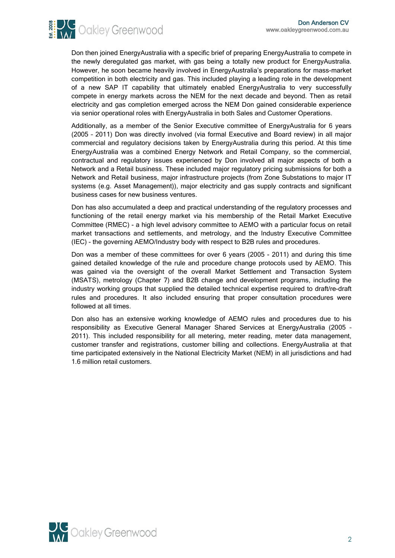

Don then joined EnergyAustralia with a specific brief of preparing EnergyAustralia to compete in the newly deregulated gas market, with gas being a totally new product for EnergyAustralia. However, he soon became heavily involved in EnergyAustralia's preparations for mass-market competition in both electricity and gas. This included playing a leading role in the development of a new SAP IT capability that ultimately enabled EnergyAustralia to very successfully compete in energy markets across the NEM for the next decade and beyond. Then as retail electricity and gas completion emerged across the NEM Don gained considerable experience via senior operational roles with EnergyAustralia in both Sales and Customer Operations.

Additionally, as a member of the Senior Executive committee of EnergyAustralia for 6 years (2005 – 2011) Don was directly involved (via formal Executive and Board review) in all major commercial and regulatory decisions taken by EnergyAustralia during this period. At this time EnergyAustralia was a combined Energy Network and Retail Company, so the commercial, contractual and regulatory issues experienced by Don involved all major aspects of both a Network and a Retail business. These included major regulatory pricing submissions for both a Network and Retail business, major infrastructure projects (from Zone Substations to major IT systems (e.g. Asset Management)), major electricity and gas supply contracts and significant business cases for new business ventures.

Don has also accumulated a deep and practical understanding of the regulatory processes and functioning of the retail energy market via his membership of the Retail Market Executive Committee (RMEC) - a high level advisory committee to AEMO with a particular focus on retail market transactions and settlements, and metrology, and the Industry Executive Committee (IEC) - the governing AEMO/Industry body with respect to B2B rules and procedures.

Don was a member of these committees for over 6 years (2005 - 2011) and during this time gained detailed knowledge of the rule and procedure change protocols used by AEMO. This was gained via the oversight of the overall Market Settlement and Transaction System (MSATS), metrology (Chapter 7) and B2B change and development programs, including the industry working groups that supplied the detailed technical expertise required to draft/re-draft rules and procedures. It also included ensuring that proper consultation procedures were followed at all times.

Don also has an extensive working knowledge of AEMO rules and procedures due to his responsibility as Executive General Manager Shared Services at EnergyAustralia (2005 – 2011). This included responsibility for all metering, meter reading, meter data management, customer transfer and registrations, customer billing and collections. EnergyAustralia at that time participated extensively in the National Electricity Market (NEM) in all jurisdictions and had 1.6 million retail customers.

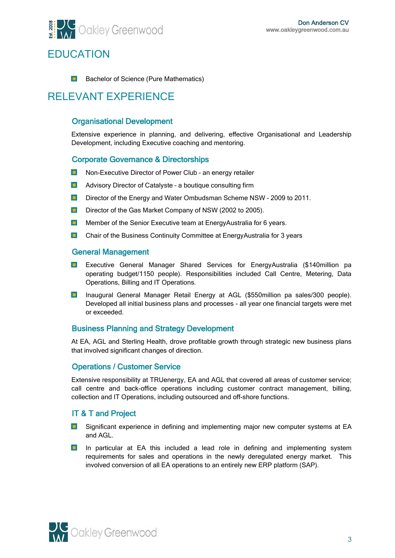

## EDUCATION

 $\blacksquare$ Bachelor of Science (Pure Mathematics)

## RELEVANT EXPERIENCE

### Organisational Development

Extensive experience in planning, and delivering, effective Organisational and Leadership Development, including Executive coaching and mentoring.

#### Corporate Governance & Directorships

- Non-Executive Director of Power Club an energy retailer  $\blacksquare$
- **L** Advisory Director of Catalyste a boutique consulting firm
- $\blacksquare$ Director of the Energy and Water Ombudsman Scheme NSW – 2009 to 2011.
- $\blacksquare$ Director of the Gas Market Company of NSW (2002 to 2005).
- $\blacksquare$ Member of the Senior Executive team at EnergyAustralia for 6 years.
- $\blacksquare$ Chair of the Business Continuity Committee at EnergyAustralia for 3 years

#### General Management

- **E** Executive General Manager Shared Services for EnergyAustralia (\$140million pa operating budget/1150 people). Responsibilities included Call Centre, Metering, Data Operations, Billing and IT Operations.
- **In** Inaugural General Manager Retail Energy at AGL (\$550million pa sales/300 people). Developed all initial business plans and processes - all year one financial targets were met or exceeded.

#### Business Planning and Strategy Development

At EA, AGL and Sterling Health, drove profitable growth through strategic new business plans that involved significant changes of direction.

### Operations / Customer Service

Extensive responsibility at TRUenergy, EA and AGL that covered all areas of customer service; call centre and back-office operations including customer contract management, billing, collection and IT Operations, including outsourced and off-shore functions.

#### IT & T and Project

- **D** Significant experience in defining and implementing major new computer systems at EA and AGL.
- $\blacksquare$ In particular at EA this included a lead role in defining and implementing system requirements for sales and operations in the newly deregulated energy market. This involved conversion of all EA operations to an entirely new ERP platform (SAP).